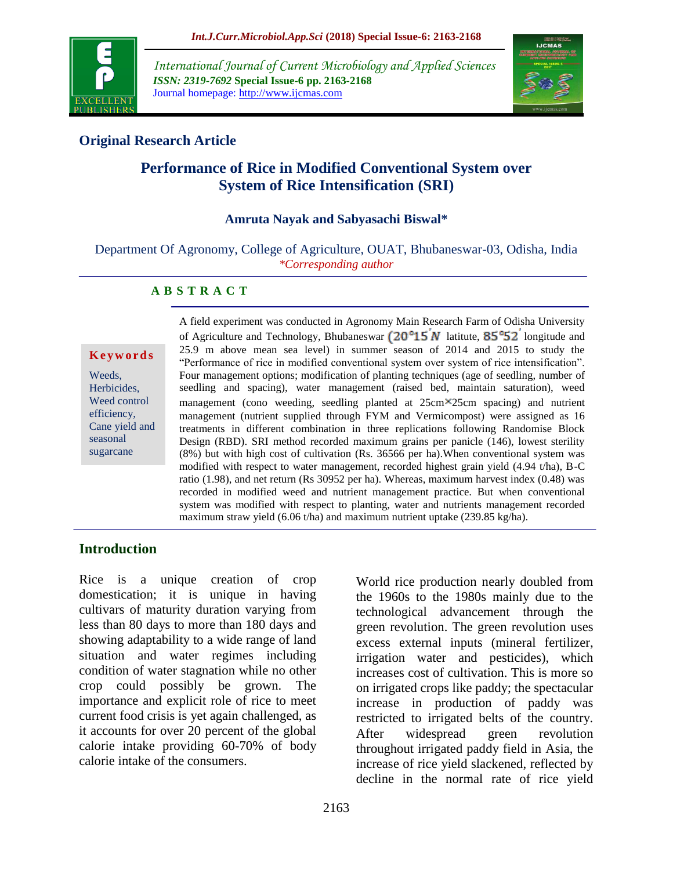

*International Journal of Current Microbiology and Applied Sciences ISSN: 2319-7692* **Special Issue-6 pp. 2163-2168** Journal homepage: http://www.ijcmas.com



# **Original Research Article**

# **Performance of Rice in Modified Conventional System over System of Rice Intensification (SRI)**

### **Amruta Nayak and Sabyasachi Biswal\***

Department Of Agronomy, College of Agriculture, OUAT, Bhubaneswar-03, Odisha, India *\*Corresponding author*

### **A B S T R A C T**

#### **K e y w o r d s**

Weeds, Herbicides, Weed control efficiency, Cane yield and seasonal sugarcane

A field experiment was conducted in Agronomy Main Research Farm of Odisha University of Agriculture and Technology, Bhubaneswar  $(20^{\circ}15^{\prime}N)$  latitute,  $85^{\circ}52^{\prime}$  longitude and 25.9 m above mean sea level) in summer season of 2014 and 2015 to study the "Performance of rice in modified conventional system over system of rice intensification". Four management options; modification of planting techniques (age of seedling, number of seedling and spacing), water management (raised bed, maintain saturation), weed management (cono weeding, seedling planted at  $25 \text{cm} \times 25 \text{cm}$  spacing) and nutrient management (nutrient supplied through FYM and Vermicompost) were assigned as 16 treatments in different combination in three replications following Randomise Block Design (RBD). SRI method recorded maximum grains per panicle (146), lowest sterility (8%) but with high cost of cultivation (Rs. 36566 per ha).When conventional system was modified with respect to water management, recorded highest grain yield (4.94 t/ha), B-C ratio (1.98), and net return (Rs 30952 per ha). Whereas, maximum harvest index (0.48) was recorded in modified weed and nutrient management practice. But when conventional system was modified with respect to planting, water and nutrients management recorded maximum straw yield (6.06 t/ha) and maximum nutrient uptake (239.85 kg/ha).

### **Introduction**

Rice is a unique creation of crop domestication; it is unique in having cultivars of maturity duration varying from less than 80 days to more than 180 days and showing adaptability to a wide range of land situation and water regimes including condition of water stagnation while no other crop could possibly be grown. The importance and explicit role of rice to meet current food crisis is yet again challenged, as it accounts for over 20 percent of the global calorie intake providing 60-70% of body calorie intake of the consumers.

World rice production nearly doubled from the 1960s to the 1980s mainly due to the technological advancement through the green revolution. The green revolution uses excess external inputs (mineral fertilizer, irrigation water and pesticides), which increases cost of cultivation. This is more so on irrigated crops like paddy; the spectacular increase in production of paddy was restricted to irrigated belts of the country. After widespread green revolution throughout irrigated paddy field in Asia, the increase of rice yield slackened, reflected by decline in the normal rate of rice yield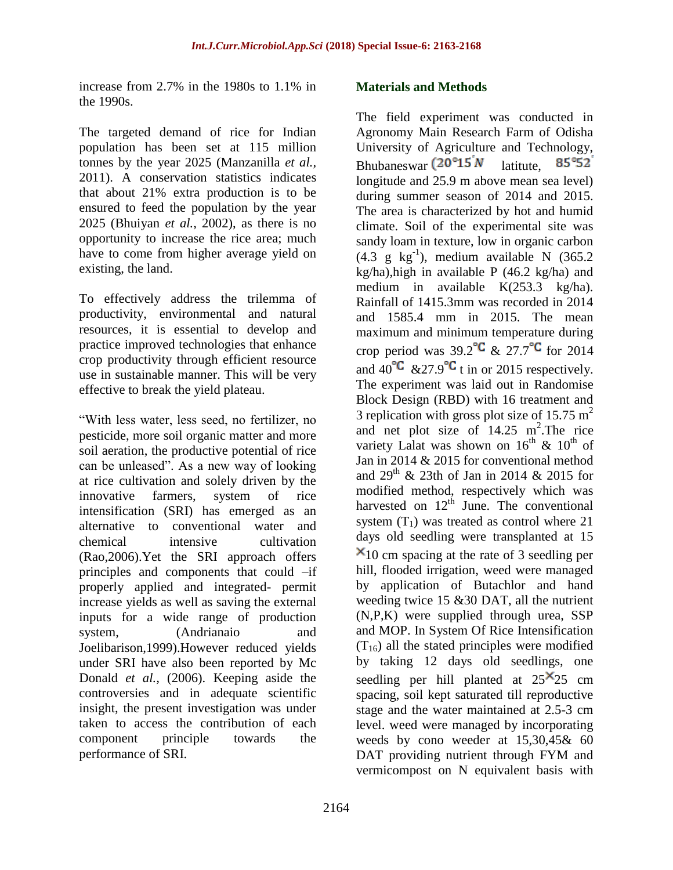increase from 2.7% in the 1980s to 1.1% in the 1990s.

The targeted demand of rice for Indian population has been set at 115 million tonnes by the year 2025 (Manzanilla *et al.,*  2011). A conservation statistics indicates that about 21% extra production is to be ensured to feed the population by the year 2025 (Bhuiyan *et al.,* 2002), as there is no opportunity to increase the rice area; much have to come from higher average yield on existing, the land.

To effectively address the trilemma of productivity, environmental and natural resources, it is essential to develop and practice improved technologies that enhance crop productivity through efficient resource use in sustainable manner. This will be very effective to break the yield plateau.

"With less water, less seed, no fertilizer, no pesticide, more soil organic matter and more soil aeration, the productive potential of rice can be unleased". As a new way of looking at rice cultivation and solely driven by the innovative farmers, system of rice intensification (SRI) has emerged as an alternative to conventional water and chemical intensive cultivation (Rao,2006).Yet the SRI approach offers principles and components that could –if properly applied and integrated- permit increase yields as well as saving the external inputs for a wide range of production system, (Andrianaio and Joelibarison,1999).However reduced yields under SRI have also been reported by Mc Donald *et al.*, (2006). Keeping aside the controversies and in adequate scientific insight, the present investigation was under taken to access the contribution of each component principle towards the performance of SRI.

### **Materials and Methods**

The field experiment was conducted in Agronomy Main Research Farm of Odisha University of Agriculture and Technology, Bhubaneswar  $(20^{\circ}15^{\prime}N)$  latitute.  $85°52$ longitude and 25.9 m above mean sea level) during summer season of 2014 and 2015. The area is characterized by hot and humid climate. Soil of the experimental site was sandy loam in texture, low in organic carbon  $(4.3 \text{ g kg}^{-1})$ , medium available N  $(365.2)$ kg/ha),high in available  $P$  (46.2 kg/ha) and medium in available K(253.3 kg/ha). Rainfall of 1415.3mm was recorded in 2014 and 1585.4 mm in 2015. The mean maximum and minimum temperature during crop period was  $39.2^{\circ}C$  &  $27.7^{\circ}C$  for 2014 and  $40^{\circ}$ C & 27.9<sup>°</sup>C t in or 2015 respectively. The experiment was laid out in Randomise Block Design (RBD) with 16 treatment and 3 replication with gross plot size of 15.75  $m<sup>2</sup>$ and net plot size of  $14.25$  m<sup>2</sup>. The rice variety Lalat was shown on  $16^{th}$  &  $10^{th}$  of Jan in 2014 & 2015 for conventional method and  $29<sup>th</sup>$  & 23th of Jan in 2014 & 2015 for modified method, respectively which was harvested on  $12<sup>th</sup>$  June. The conventional system  $(T_1)$  was treated as control where 21 days old seedling were transplanted at 15  $x_{10}$  cm spacing at the rate of 3 seedling per hill, flooded irrigation, weed were managed by application of Butachlor and hand weeding twice 15 & 30 DAT, all the nutrient (N,P,K) were supplied through urea, SSP and MOP. In System Of Rice Intensification  $(T_{16})$  all the stated principles were modified by taking 12 days old seedlings, one seedling per hill planted at  $25^{\times}25$  cm spacing, soil kept saturated till reproductive stage and the water maintained at 2.5-3 cm level. weed were managed by incorporating weeds by cono weeder at 15,30,45& 60 DAT providing nutrient through FYM and vermicompost on N equivalent basis with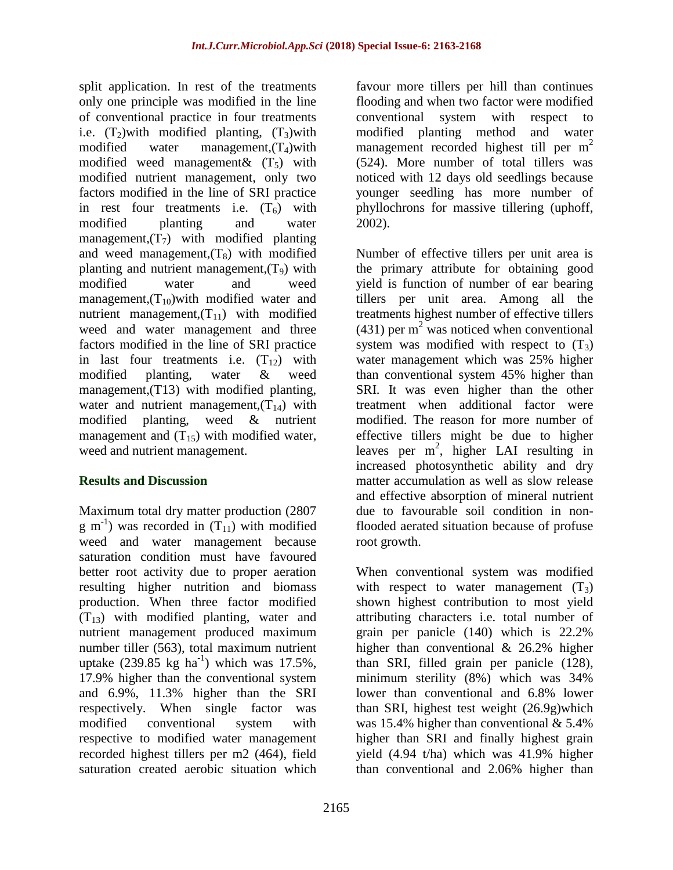split application. In rest of the treatments only one principle was modified in the line of conventional practice in four treatments i.e.  $(T_2)$  with modified planting,  $(T_3)$  with modified water management, $(T_4)$ with modified weed management  $\&$   $(T_5)$  with modified nutrient management, only two factors modified in the line of SRI practice in rest four treatments i.e.  $(T<sub>6</sub>)$  with modified planting and water management, $(T_7)$  with modified planting and weed management, $(T_8)$  with modified planting and nutrient management, $(T<sub>9</sub>)$  with modified water and weed management, $(T_{10})$ with modified water and nutrient management,  $(T_{11})$  with modified weed and water management and three factors modified in the line of SRI practice in last four treatments i.e.  $(T_{12})$  with modified planting, water & weed management,(T13) with modified planting, water and nutrient management,  $(T_{14})$  with modified planting, weed & nutrient management and  $(T_{15})$  with modified water, weed and nutrient management.

### **Results and Discussion**

Maximum total dry matter production (2807  $g$  m<sup>-1</sup>) was recorded in  $(T_{11})$  with modified weed and water management because saturation condition must have favoured better root activity due to proper aeration resulting higher nutrition and biomass production. When three factor modified  $(T_{13})$  with modified planting, water and nutrient management produced maximum number tiller (563), total maximum nutrient uptake  $(239.85 \text{ kg ha}^{-1})$  which was 17.5%, 17.9% higher than the conventional system and 6.9%, 11.3% higher than the SRI respectively. When single factor was modified conventional system with respective to modified water management recorded highest tillers per m2 (464), field saturation created aerobic situation which

favour more tillers per hill than continues flooding and when two factor were modified conventional system with respect to modified planting method and water management recorded highest till per m<sup>2</sup> (524). More number of total tillers was noticed with 12 days old seedlings because younger seedling has more number of phyllochrons for massive tillering (uphoff, 2002).

Number of effective tillers per unit area is the primary attribute for obtaining good yield is function of number of ear bearing tillers per unit area. Among all the treatments highest number of effective tillers  $(431)$  per m<sup>2</sup> was noticed when conventional system was modified with respect to  $(T_3)$ water management which was 25% higher than conventional system 45% higher than SRI. It was even higher than the other treatment when additional factor were modified. The reason for more number of effective tillers might be due to higher leaves per  $m^2$ , higher LAI resulting in increased photosynthetic ability and dry matter accumulation as well as slow release and effective absorption of mineral nutrient due to favourable soil condition in nonflooded aerated situation because of profuse root growth.

When conventional system was modified with respect to water management  $(T_3)$ shown highest contribution to most yield attributing characters i.e. total number of grain per panicle (140) which is 22.2% higher than conventional & 26.2% higher than SRI, filled grain per panicle (128), minimum sterility (8%) which was 34% lower than conventional and 6.8% lower than SRI, highest test weight (26.9g)which was 15.4% higher than conventional & 5.4% higher than SRI and finally highest grain yield (4.94 t/ha) which was 41.9% higher than conventional and 2.06% higher than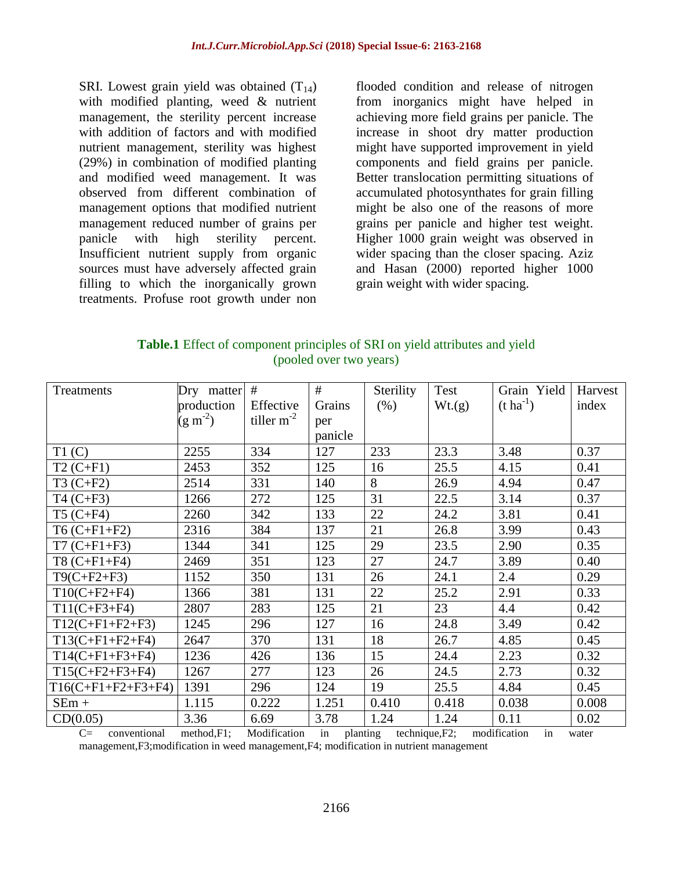SRI. Lowest grain yield was obtained  $(T_{14})$ with modified planting, weed & nutrient management, the sterility percent increase with addition of factors and with modified nutrient management, sterility was highest (29%) in combination of modified planting and modified weed management. It was observed from different combination of management options that modified nutrient management reduced number of grains per panicle with high sterility percent. Insufficient nutrient supply from organic sources must have adversely affected grain filling to which the inorganically grown treatments. Profuse root growth under non

flooded condition and release of nitrogen from inorganics might have helped in achieving more field grains per panicle. The increase in shoot dry matter production might have supported improvement in yield components and field grains per panicle. Better translocation permitting situations of accumulated photosynthates for grain filling might be also one of the reasons of more grains per panicle and higher test weight. Higher 1000 grain weight was observed in wider spacing than the closer spacing. Aziz and Hasan (2000) reported higher 1000 grain weight with wider spacing.

| <b>Table.1</b> Effect of component principles of SRI on yield attributes and yield |
|------------------------------------------------------------------------------------|
| (pooled over two years)                                                            |

| Treatments                              | Dry matter # |                                                                                       | #       | Sterility | Test   | Grain Yield      | Harvest |
|-----------------------------------------|--------------|---------------------------------------------------------------------------------------|---------|-----------|--------|------------------|---------|
|                                         | production   | Effective                                                                             | Grains  | (% )      | Wt.(g) | $(t \, ha^{-1})$ | index   |
|                                         | $(g m^{-2})$ | tiller $m^{-2}$                                                                       | per     |           |        |                  |         |
|                                         |              |                                                                                       | panicle |           |        |                  |         |
| T1(C)                                   | 2255         | 334                                                                                   | 127     | 233       | 23.3   | 3.48             | 0.37    |
| $T2(C+F1)$                              | 2453         | 352                                                                                   | 125     | 16        | 25.5   | 4.15             | 0.41    |
| $T3(C+F2)$                              | 2514         | 331                                                                                   | 140     | 8         | 26.9   | 4.94             | 0.47    |
| $T4 (C + F3)$                           | 1266         | 272                                                                                   | 125     | 31        | 22.5   | 3.14             | 0.37    |
| $T5(C+F4)$                              | 2260         | 342                                                                                   | 133     | 22        | 24.2   | 3.81             | 0.41    |
| $T6(C+F1+F2)$                           | 2316         | 384                                                                                   | 137     | 21        | 26.8   | 3.99             | 0.43    |
| $T7 (C + F1 + F3)$                      | 1344         | 341                                                                                   | 125     | 29        | 23.5   | 2.90             | 0.35    |
| $T8 (C + F1 + F4)$                      | 2469         | 351                                                                                   | 123     | 27        | 24.7   | 3.89             | 0.40    |
| $T9(C+F2+F3)$                           | 1152         | 350                                                                                   | 131     | 26        | 24.1   | 2.4              | 0.29    |
| $T10(C+F2+F4)$                          | 1366         | 381                                                                                   | 131     | 22        | 25.2   | 2.91             | 0.33    |
| $T11(C+F3+F4)$                          | 2807         | 283                                                                                   | 125     | 21        | 23     | 4.4              | 0.42    |
| $T12(C+F1+F2+F3)$                       | 1245         | 296                                                                                   | 127     | 16        | 24.8   | 3.49             | 0.42    |
| $T13(C+F1+F2+F4)$                       | 2647         | 370                                                                                   | 131     | 18        | 26.7   | 4.85             | 0.45    |
| $T14(C+F1+F3+F4)$                       | 1236         | 426                                                                                   | 136     | 15        | 24.4   | 2.23             | 0.32    |
| $T15(C+F2+F3+F4)$                       | 1267         | 277                                                                                   | 123     | 26        | 24.5   | 2.73             | 0.32    |
| $T16(C+F1+F2+F3+F4)$                    | 1391         | 296                                                                                   | 124     | 19        | 25.5   | 4.84             | 0.45    |
| $SEm +$                                 | 1.115        | 0.222                                                                                 | 1.251   | 0.410     | 0.418  | 0.038            | 0.008   |
| CD(0.05)<br>$\sim$ $\sim$ $\sim$ $\sim$ | 3.36         | 6.69<br>$\mathbf{v}$ $\mathbf{v}$ $\mathbf{v}$ $\mathbf{v}$ $\mathbf{v}$ $\mathbf{v}$ | 3.78    | 1.24      | 1.24   | 0.11<br>$\cdots$ | 0.02    |

C= conventional method,F1; Modification in planting technique,F2; modification in water management,F3;modification in weed management,F4; modification in nutrient management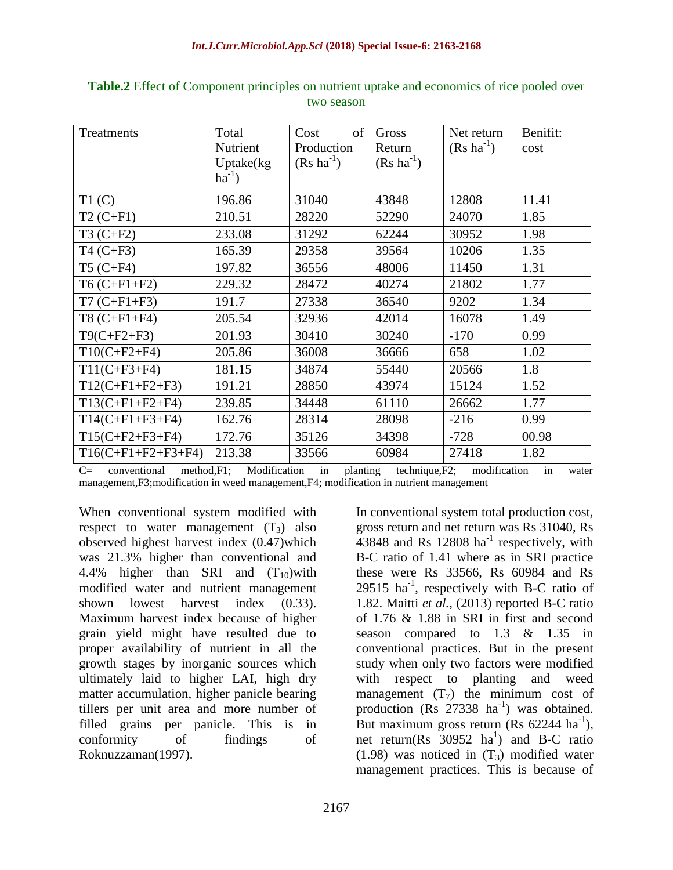| Treatments           | Total         | of<br>Cost             | Gross                  | Net return             | Benifit: |
|----------------------|---------------|------------------------|------------------------|------------------------|----------|
|                      | Nutrient      | Production             | Return                 | $(Rs \text{ ha}^{-1})$ | cost     |
|                      | Uptake $(kg)$ | $(Rs \text{ ha}^{-1})$ | $(Rs \text{ ha}^{-1})$ |                        |          |
|                      | $ha^{-1}$ )   |                        |                        |                        |          |
| T1(C)                | 196.86        | 31040                  | 43848                  | 12808                  | 11.41    |
| $T2(C+F1)$           | 210.51        | 28220                  | 52290                  | 24070                  | 1.85     |
| $T3 (C + F2)$        | 233.08        | 31292                  | 62244                  | 30952                  | 1.98     |
| $T4 (C + F3)$        | 165.39        | 29358                  | 39564                  | 10206                  | 1.35     |
| $T5(C+F4)$           | 197.82        | 36556                  | 48006                  | 11450                  | 1.31     |
| $T6(C+F1+F2)$        | 229.32        | 28472                  | 40274                  | 21802                  | 1.77     |
| $T7 (C + F1 + F3)$   | 191.7         | 27338                  | 36540                  | 9202                   | 1.34     |
| $T8 (C + F1 + F4)$   | 205.54        | 32936                  | 42014                  | 16078                  | 1.49     |
| $T9(C+F2+F3)$        | 201.93        | 30410                  | 30240                  | $-170$                 | 0.99     |
| $T10(C+F2+F4)$       | 205.86        | 36008                  | 36666                  | 658                    | 1.02     |
| $T11(C+F3+F4)$       | 181.15        | 34874                  | 55440                  | 20566                  | 1.8      |
| $T12(C+F1+F2+F3)$    | 191.21        | 28850                  | 43974                  | 15124                  | 1.52     |
| $T13(C+F1+F2+F4)$    | 239.85        | 34448                  | 61110                  | 26662                  | 1.77     |
| $T14(C+F1+F3+F4)$    | 162.76        | 28314                  | 28098                  | $-216$                 | 0.99     |
| $T15(C+F2+F3+F4)$    | 172.76        | 35126                  | 34398                  | $-728$                 | 00.98    |
| $T16(C+F1+F2+F3+F4)$ | 213.38        | 33566                  | 60984                  | 27418                  | 1.82     |

**Table.2** Effect of Component principles on nutrient uptake and economics of rice pooled over two season

C= conventional method,F1; Modification in planting technique,F2; modification in water management,F3;modification in weed management,F4; modification in nutrient management

When conventional system modified with respect to water management  $(T_3)$  also observed highest harvest index (0.47)which was 21.3% higher than conventional and 4.4% higher than SRI and  $(T_{10})$  with modified water and nutrient management shown lowest harvest index (0.33). Maximum harvest index because of higher grain yield might have resulted due to proper availability of nutrient in all the growth stages by inorganic sources which ultimately laid to higher LAI, high dry matter accumulation, higher panicle bearing tillers per unit area and more number of filled grains per panicle. This is in conformity of findings of Roknuzzaman(1997).

In conventional system total production cost, gross return and net return was Rs 31040, Rs  $43848$  and Rs 12808 ha<sup>-1</sup> respectively, with B-C ratio of 1.41 where as in SRI practice these were Rs 33566, Rs 60984 and Rs  $29515$  ha<sup>-1</sup>, respectively with B-C ratio of 1.82. Maitti *et al.,* (2013) reported B-C ratio of 1.76 & 1.88 in SRI in first and second season compared to 1.3 & 1.35 in conventional practices. But in the present study when only two factors were modified with respect to planting and weed management  $(T_7)$  the minimum cost of production (Rs  $27338$  ha<sup>-1</sup>) was obtained. But maximum gross return (Rs  $62244$  ha<sup>-1</sup>), net return( $\text{Rs}$  30952 ha<sup>1</sup>) and B-C ratio (1.98) was noticed in  $(T_3)$  modified water management practices. This is because of